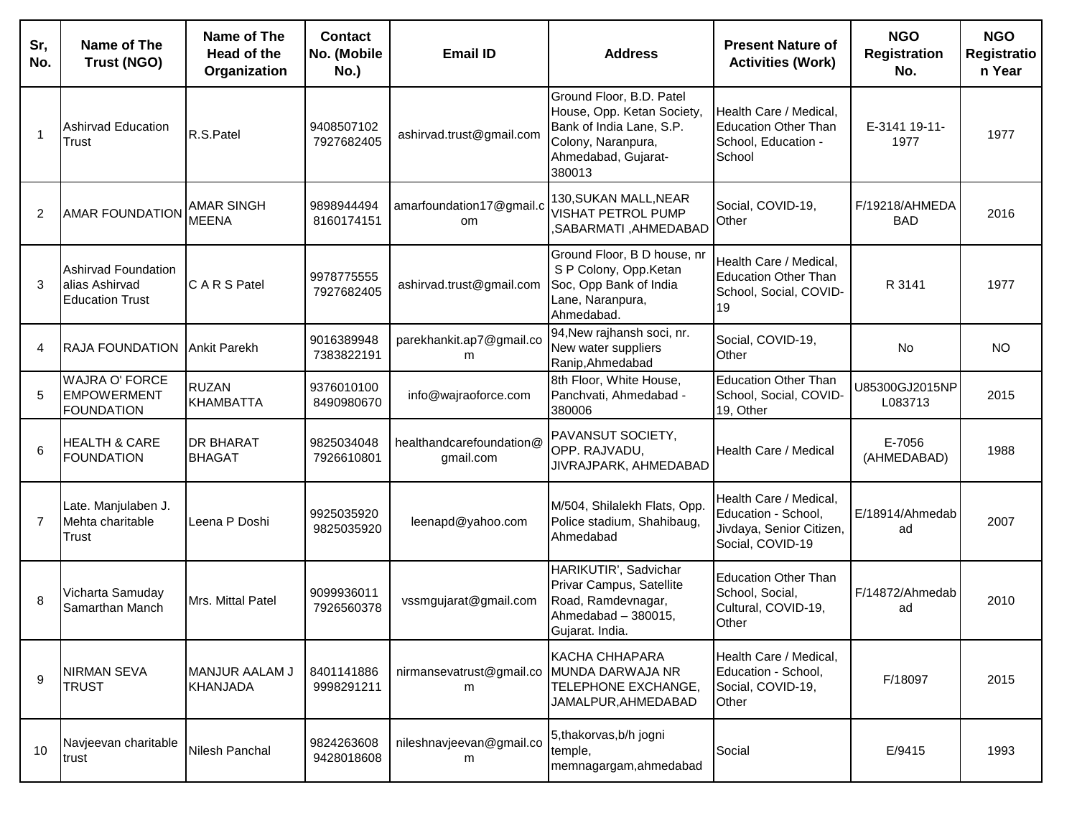| Sr,<br>No.     | Name of The<br>Trust (NGO)                                       | Name of The<br>Head of the<br>Organization | <b>Contact</b><br>No. (Mobile<br>No.) | <b>Email ID</b>                           | <b>Address</b>                                                                                                                            | <b>Present Nature of</b><br><b>Activities (Work)</b>                                          | <b>NGO</b><br><b>Registration</b><br>No. | <b>NGO</b><br>Registratio<br>n Year |
|----------------|------------------------------------------------------------------|--------------------------------------------|---------------------------------------|-------------------------------------------|-------------------------------------------------------------------------------------------------------------------------------------------|-----------------------------------------------------------------------------------------------|------------------------------------------|-------------------------------------|
| 1              | Ashirvad Education<br>Trust                                      | R.S.Patel                                  | 9408507102<br>7927682405              | ashirvad.trust@gmail.com                  | Ground Floor, B.D. Patel<br>House, Opp. Ketan Society,<br>Bank of India Lane, S.P.<br>Colony, Naranpura,<br>Ahmedabad, Gujarat-<br>380013 | Health Care / Medical,<br><b>Education Other Than</b><br>School, Education -<br>School        | E-3141 19-11-<br>1977                    | 1977                                |
| 2              | <b>AMAR FOUNDATION</b>                                           | <b>AMAR SINGH</b><br><b>MEENA</b>          | 9898944494<br>8160174151              | amarfoundation17@gmail.c<br><sub>om</sub> | 130, SUKAN MALL, NEAR<br>VISHAT PETROL PUMP<br>,SABARMATI, AHMEDABAD                                                                      | Social, COVID-19,<br>Other                                                                    | F/19218/AHMEDA<br><b>BAD</b>             | 2016                                |
| 3              | Ashirvad Foundation<br>alias Ashirvad<br><b>Education Trust</b>  | C A R S Patel                              | 9978775555<br>7927682405              | ashirvad.trust@gmail.com                  | Ground Floor, B D house, nr<br>S P Colony, Opp.Ketan<br>Soc, Opp Bank of India<br>Lane, Naranpura,<br>Ahmedabad.                          | Health Care / Medical,<br><b>Education Other Than</b><br>School, Social, COVID-<br>19         | R 3141                                   | 1977                                |
| 4              | <b>RAJA FOUNDATION</b>                                           | <b>Ankit Parekh</b>                        | 9016389948<br>7383822191              | parekhankit.ap7@gmail.co<br>m             | 94, New rajhansh soci, nr.<br>New water suppliers<br>Ranip, Ahmedabad                                                                     | Social, COVID-19,<br>Other                                                                    | <b>No</b>                                | <b>NO</b>                           |
| 5              | <b>WAJRA O' FORCE</b><br><b>EMPOWERMENT</b><br><b>FOUNDATION</b> | <b>RUZAN</b><br><b>KHAMBATTA</b>           | 9376010100<br>8490980670              | info@wajraoforce.com                      | 8th Floor, White House,<br>Panchvati, Ahmedabad -<br>380006                                                                               | <b>Education Other Than</b><br>School, Social, COVID-<br>19, Other                            | U85300GJ2015NP<br>L083713                | 2015                                |
| 6              | <b>HEALTH &amp; CARE</b><br><b>FOUNDATION</b>                    | <b>DR BHARAT</b><br><b>BHAGAT</b>          | 9825034048<br>7926610801              | healthandcarefoundation@<br>gmail.com     | PAVANSUT SOCIETY,<br>OPP. RAJVADU,<br>JIVRAJPARK, AHMEDABAD                                                                               | Health Care / Medical                                                                         | E-7056<br>(AHMEDABAD)                    | 1988                                |
| $\overline{7}$ | Late. Manjulaben J.<br>Mehta charitable<br>Trust                 | Leena P Doshi                              | 9925035920<br>9825035920              | leenapd@yahoo.com                         | M/504, Shilalekh Flats, Opp.<br>Police stadium, Shahibaug,<br>Ahmedabad                                                                   | Health Care / Medical,<br>Education - School,<br>Jivdaya, Senior Citizen,<br>Social, COVID-19 | E/18914/Ahmedab<br>ad                    | 2007                                |
| 8              | Vicharta Samuday<br>Samarthan Manch                              | Mrs. Mittal Patel                          | 9099936011<br>7926560378              | vssmgujarat@gmail.com                     | HARIKUTIR', Sadvichar<br>Privar Campus, Satellite<br>Road, Ramdevnagar,<br>Ahmedabad - 380015,<br>Gujarat. India.                         | <b>Education Other Than</b><br>School, Social,<br>Cultural, COVID-19,<br>Other                | F/14872/Ahmedab<br>ad                    | 2010                                |
| 9              | NIRMAN SEVA<br><b>TRUST</b>                                      | MANJUR AALAM J<br><b>KHANJADA</b>          | 8401141886<br>9998291211              | nirmansevatrust@gmail.co<br>m             | KACHA CHHAPARA<br>MUNDA DARWAJA NR<br>TELEPHONE EXCHANGE,<br>JAMALPUR, AHMEDABAD                                                          | Health Care / Medical,<br>Education - School,<br>Social, COVID-19,<br>Other                   | F/18097                                  | 2015                                |
| 10             | Navjeevan charitable<br>trust                                    | Nilesh Panchal                             | 9824263608<br>9428018608              | nileshnavjeevan@gmail.co<br>m             | 5, thakorvas, b/h jogni<br>temple,<br>memnagargam, ahmedabad                                                                              | Social                                                                                        | E/9415                                   | 1993                                |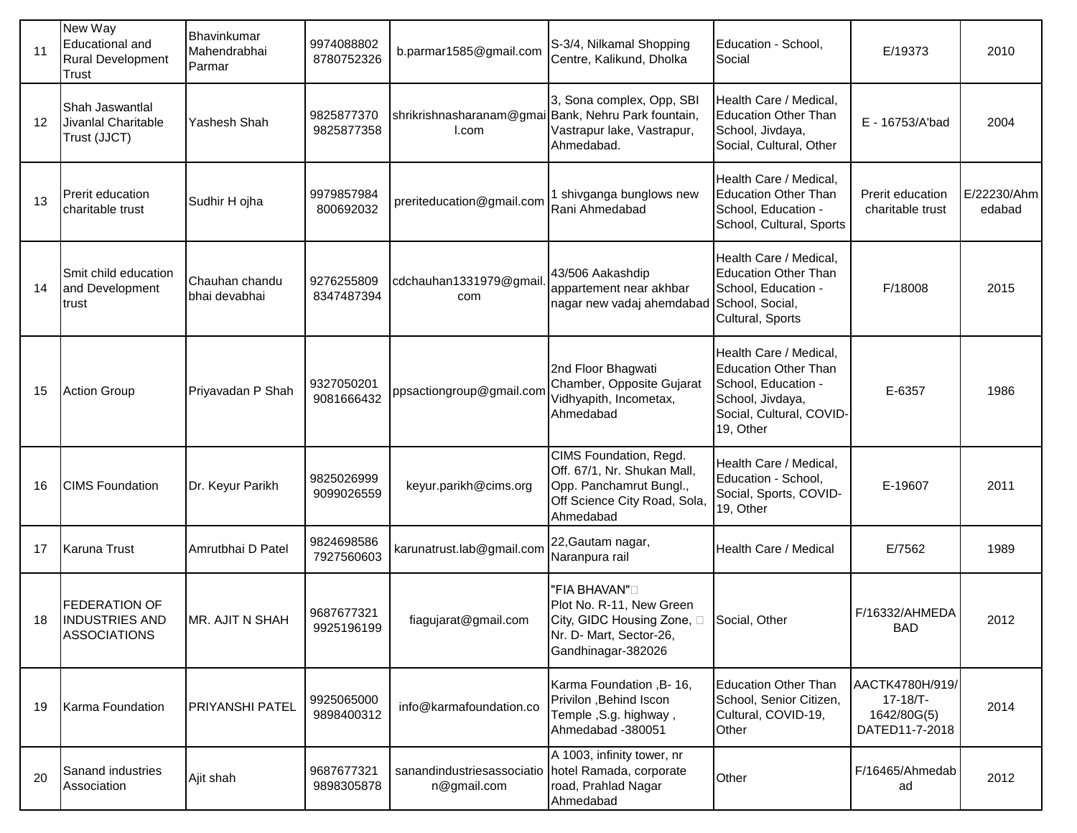| 11 | New Way<br><b>Educational and</b><br><b>Rural Development</b><br><b>Trust</b> | Bhavinkumar<br>Mahendrabhai<br>Parmar | 9974088802<br>8780752326 | b.parmar1585@gmail.com                                       | S-3/4, Nilkamal Shopping<br>Centre, Kalikund, Dholka                                                                          | Education - School,<br>Social                                                                                                             | E/19373                                                      | 2010                  |
|----|-------------------------------------------------------------------------------|---------------------------------------|--------------------------|--------------------------------------------------------------|-------------------------------------------------------------------------------------------------------------------------------|-------------------------------------------------------------------------------------------------------------------------------------------|--------------------------------------------------------------|-----------------------|
| 12 | Shah Jaswantlal<br>Jivanlal Charitable<br>Trust (JJCT)                        | Yashesh Shah                          | 9825877370<br>9825877358 | shrikrishnasharanam@gmai Bank, Nehru Park fountain,<br>I.com | 3, Sona complex, Opp, SBI<br>Vastrapur lake, Vastrapur,<br>Ahmedabad.                                                         | Health Care / Medical,<br><b>Education Other Than</b><br>School, Jivdaya,<br>Social, Cultural, Other                                      | E - 16753/A'bad                                              | 2004                  |
| 13 | Prerit education<br>charitable trust                                          | Sudhir H ojha                         | 9979857984<br>800692032  | preriteducation@gmail.com                                    | 1 shivganga bunglows new<br>Rani Ahmedabad                                                                                    | Health Care / Medical,<br><b>Education Other Than</b><br>School, Education -<br>School, Cultural, Sports                                  | Prerit education<br>charitable trust                         | E/22230/Ahm<br>edabad |
| 14 | Smit child education<br>and Development<br>trust                              | Chauhan chandu<br>bhai devabhai       | 9276255809<br>8347487394 | cdchauhan1331979@gmail<br>com                                | 43/506 Aakashdip<br>appartement near akhbar<br>nagar new vadaj ahemdabad                                                      | Health Care / Medical,<br><b>Education Other Than</b><br>School, Education -<br>School, Social,<br>Cultural, Sports                       | F/18008                                                      | 2015                  |
| 15 | <b>Action Group</b>                                                           | Priyavadan P Shah                     | 9327050201<br>9081666432 | ppsactiongroup@gmail.com                                     | 2nd Floor Bhagwati<br>Chamber, Opposite Gujarat<br>Vidhyapith, Incometax,<br>Ahmedabad                                        | Health Care / Medical,<br><b>Education Other Than</b><br>School, Education -<br>School, Jivdaya,<br>Social, Cultural, COVID-<br>19, Other | E-6357                                                       | 1986                  |
| 16 | <b>CIMS Foundation</b>                                                        | Dr. Keyur Parikh                      | 9825026999<br>9099026559 | keyur.parikh@cims.org                                        | CIMS Foundation, Regd.<br>Off. 67/1, Nr. Shukan Mall,<br>Opp. Panchamrut Bungl.,<br>Off Science City Road, Sola,<br>Ahmedabad | Health Care / Medical,<br>Education - School,<br>Social, Sports, COVID-<br>19, Other                                                      | E-19607                                                      | 2011                  |
| 17 | <b>Karuna Trust</b>                                                           | Amrutbhai D Patel                     | 9824698586<br>7927560603 | karunatrust.lab@gmail.com                                    | 22, Gautam nagar,<br>Naranpura rail                                                                                           | Health Care / Medical                                                                                                                     | E/7562                                                       | 1989                  |
| 18 | <b>FEDERATION OF</b><br><b>INDUSTRIES AND</b><br><b>ASSOCIATIONS</b>          | MR. AJIT N SHAH                       | 9687677321<br>9925196199 | fiagujarat@gmail.com                                         | "FIA BHAVAN"□<br>Plot No. R-11, New Green<br>City, GIDC Housing Zone, O<br>Nr. D- Mart, Sector-26,<br>Gandhinagar-382026      | Social, Other                                                                                                                             | F/16332/AHMEDA<br><b>BAD</b>                                 | 2012                  |
| 19 | Karma Foundation                                                              | PRIYANSHI PATEL                       | 9925065000<br>9898400312 | info@karmafoundation.co                                      | Karma Foundation , B- 16,<br>Privilon , Behind Iscon<br>Temple, S.g. highway,<br>Ahmedabad -380051                            | <b>Education Other Than</b><br>School, Senior Citizen,<br>Cultural, COVID-19,<br>Other                                                    | AACTK4780H/919/<br>17-18/T-<br>1642/80G(5)<br>DATED11-7-2018 | 2014                  |
| 20 | Sanand industries<br>Association                                              | Ajit shah                             | 9687677321<br>9898305878 | sanandindustriesassociatio<br>n@gmail.com                    | A 1003, infinity tower, nr<br>hotel Ramada, corporate<br>road, Prahlad Nagar<br>Ahmedabad                                     | Other                                                                                                                                     | F/16465/Ahmedab<br>ad                                        | 2012                  |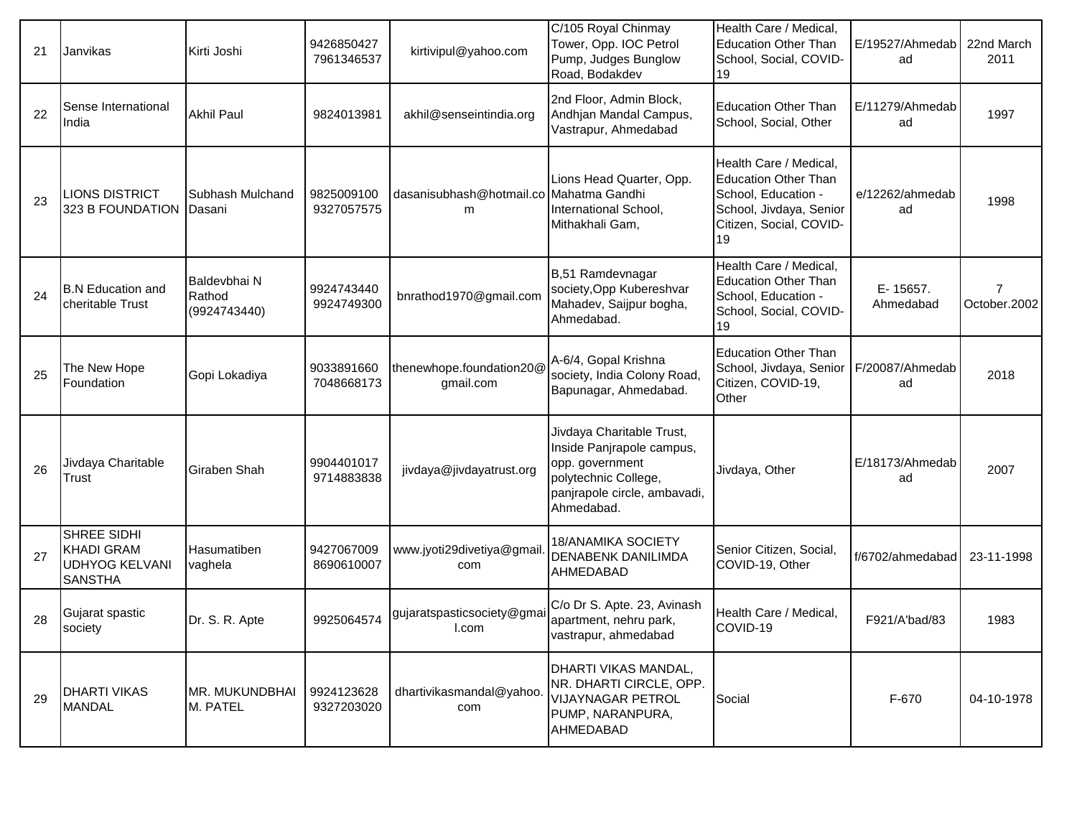| 21 | Janvikas                                                                    | Kirti Joshi                            | 9426850427<br>7961346537 | kirtivipul@yahoo.com                         | C/105 Royal Chinmay<br>Tower, Opp. IOC Petrol<br>Pump, Judges Bunglow<br>Road, Bodakdev                                                         | Health Care / Medical,<br><b>Education Other Than</b><br>School, Social, COVID-<br>19                                                    | E/19527/Ahmedab<br>ad | 22nd March<br>2011             |
|----|-----------------------------------------------------------------------------|----------------------------------------|--------------------------|----------------------------------------------|-------------------------------------------------------------------------------------------------------------------------------------------------|------------------------------------------------------------------------------------------------------------------------------------------|-----------------------|--------------------------------|
| 22 | Sense International<br>India                                                | <b>Akhil Paul</b>                      | 9824013981               | akhil@senseintindia.org                      | 2nd Floor, Admin Block,<br>Andhjan Mandal Campus,<br>Vastrapur, Ahmedabad                                                                       | <b>Education Other Than</b><br>School, Social, Other                                                                                     | E/11279/Ahmedab<br>ad | 1997                           |
| 23 | LIONS DISTRICT<br>323 B FOUNDATION                                          | Subhash Mulchand<br>Dasani             | 9825009100<br>9327057575 | dasanisubhash@hotmail.co Mahatma Gandhi<br>m | Lions Head Quarter, Opp.<br>International School,<br>Mithakhali Gam,                                                                            | Health Care / Medical,<br><b>Education Other Than</b><br>School, Education -<br>School, Jivdaya, Senior<br>Citizen, Social, COVID-<br>19 | e/12262/ahmedab<br>ad | 1998                           |
| 24 | <b>B.N</b> Education and<br>cheritable Trust                                | Baldevbhai N<br>Rathod<br>(9924743440) | 9924743440<br>9924749300 | bnrathod1970@gmail.com                       | B,51 Ramdevnagar<br>society, Opp Kubereshvar<br>Mahadev, Saijpur bogha,<br>Ahmedabad.                                                           | Health Care / Medical,<br><b>Education Other Than</b><br>School, Education -<br>School, Social, COVID-<br>19                             | E-15657.<br>Ahmedabad | $\overline{7}$<br>October.2002 |
| 25 | The New Hope<br>Foundation                                                  | Gopi Lokadiya                          | 9033891660<br>7048668173 | thenewhope.foundation20@<br>gmail.com        | A-6/4, Gopal Krishna<br>society, India Colony Road,<br>Bapunagar, Ahmedabad.                                                                    | <b>Education Other Than</b><br>School, Jivdaya, Senior<br>Citizen, COVID-19,<br>Other                                                    | F/20087/Ahmedab<br>ad | 2018                           |
| 26 | Jivdaya Charitable<br>Trust                                                 | <b>Giraben Shah</b>                    | 9904401017<br>9714883838 | jivdaya@jivdayatrust.org                     | Jivdaya Charitable Trust,<br>Inside Panjrapole campus,<br>opp. government<br>polytechnic College,<br>panjrapole circle, ambavadi,<br>Ahmedabad. | Jivdaya, Other                                                                                                                           | E/18173/Ahmedab<br>ad | 2007                           |
| 27 | SHREE SIDHI<br><b>KHADI GRAM</b><br><b>UDHYOG KELVANI</b><br><b>SANSTHA</b> | Hasumatiben<br>vaghela                 | 9427067009<br>8690610007 | www.jyoti29divetiya@gmail<br>com             | <b>18/ANAMIKA SOCIETY</b><br>DENABENK DANILIMDA<br><b>AHMEDABAD</b>                                                                             | Senior Citizen, Social,<br>COVID-19, Other                                                                                               | f/6702/ahmedabad      | 23-11-1998                     |
| 28 | Gujarat spastic<br>society                                                  | Dr. S. R. Apte                         | 9925064574               | gujaratspasticsociety@gmai<br>l.com          | C/o Dr S. Apte. 23, Avinash<br>apartment, nehru park,<br>vastrapur, ahmedabad                                                                   | Health Care / Medical,<br>COVID-19                                                                                                       | F921/A'bad/83         | 1983                           |
| 29 | <b>DHARTI VIKAS</b><br><b>MANDAL</b>                                        | MR. MUKUNDBHAI<br>M. PATEL             | 9924123628<br>9327203020 | dhartivikasmandal@yahoo.<br>com              | DHARTI VIKAS MANDAL,<br>NR. DHARTI CIRCLE, OPP.<br><b>VIJAYNAGAR PETROL</b><br>PUMP, NARANPURA,<br>AHMEDABAD                                    | Social                                                                                                                                   | F-670                 | 04-10-1978                     |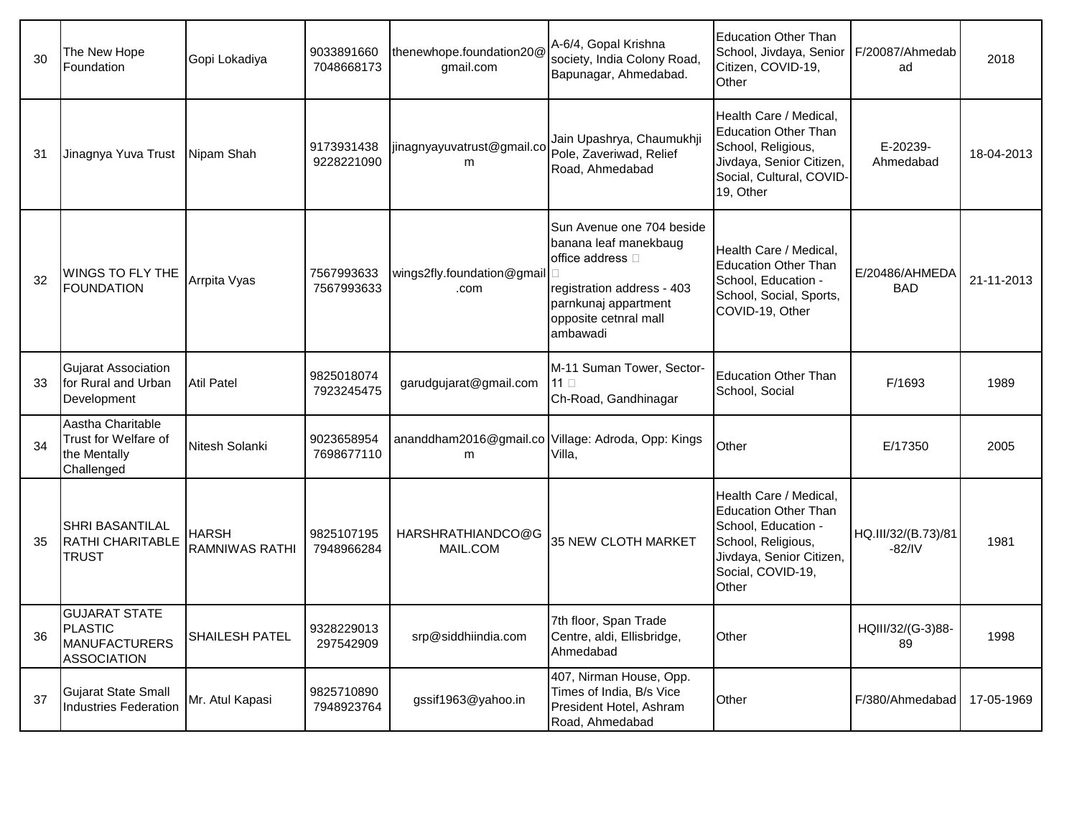| 30 | The New Hope<br>Foundation                                                           | Gopi Lokadiya                         | 9033891660<br>7048668173 | thenewhope.foundation20@<br>gmail.com | A-6/4, Gopal Krishna<br>society, India Colony Road,<br>Bapunagar, Ahmedabad.                                                                                      | <b>Education Other Than</b><br>School, Jivdaya, Senior<br>Citizen, COVID-19,<br>Other                                                                        | F/20087/Ahmedab<br>ad           | 2018       |
|----|--------------------------------------------------------------------------------------|---------------------------------------|--------------------------|---------------------------------------|-------------------------------------------------------------------------------------------------------------------------------------------------------------------|--------------------------------------------------------------------------------------------------------------------------------------------------------------|---------------------------------|------------|
| 31 | Jinagnya Yuva Trust                                                                  | Nipam Shah                            | 9173931438<br>9228221090 | jinagnyayuvatrust@gmail.co<br>m       | Jain Upashrya, Chaumukhji<br>Pole, Zaveriwad, Relief<br>Road, Ahmedabad                                                                                           | Health Care / Medical.<br><b>Education Other Than</b><br>School, Religious,<br>Jivdaya, Senior Citizen,<br>Social, Cultural, COVID-<br>19, Other             | E-20239-<br>Ahmedabad           | 18-04-2013 |
| 32 | <b>WINGS TO FLY THE</b><br><b>FOUNDATION</b>                                         | Arrpita Vyas                          | 7567993633<br>7567993633 | wings2fly.foundation@gmail<br>.com    | Sun Avenue one 704 beside<br>banana leaf manekbaug<br>office address □<br>registration address - 403<br>parnkunaj appartment<br>opposite cetnral mall<br>ambawadi | Health Care / Medical.<br><b>Education Other Than</b><br>School, Education -<br>School, Social, Sports,<br>COVID-19, Other                                   | E/20486/AHMEDA<br><b>BAD</b>    | 21-11-2013 |
| 33 | <b>Gujarat Association</b><br>for Rural and Urban<br>Development                     | <b>Atil Patel</b>                     | 9825018074<br>7923245475 | garudgujarat@gmail.com                | M-11 Suman Tower, Sector-<br>11 $\square$<br>Ch-Road, Gandhinagar                                                                                                 | <b>Education Other Than</b><br>School, Social                                                                                                                | F/1693                          | 1989       |
| 34 | Aastha Charitable<br>Trust for Welfare of<br>the Mentally<br>Challenged              | Nitesh Solanki                        | 9023658954<br>7698677110 | m                                     | ananddham2016@gmail.co Village: Adroda, Opp: Kings<br>Villa,                                                                                                      | Other                                                                                                                                                        | E/17350                         | 2005       |
| 35 | ISHRI BASANTILAL<br>RATHI CHARITABLE<br><b>TRUST</b>                                 | <b>HARSH</b><br><b>RAMNIWAS RATHI</b> | 9825107195<br>7948966284 | HARSHRATHIANDCO@G<br>MAIL.COM         | <b>35 NEW CLOTH MARKET</b>                                                                                                                                        | Health Care / Medical,<br><b>Education Other Than</b><br>School, Education -<br>School, Religious,<br>Jivdaya, Senior Citizen,<br>Social, COVID-19,<br>Other | HQ.III/32/(B.73)/81<br>$-82/IV$ | 1981       |
| 36 | <b>GUJARAT STATE</b><br><b>PLASTIC</b><br><b>MANUFACTURERS</b><br><b>ASSOCIATION</b> | <b>SHAILESH PATEL</b>                 | 9328229013<br>297542909  | srp@siddhiindia.com                   | 7th floor, Span Trade<br>Centre, aldi, Ellisbridge,<br>Ahmedabad                                                                                                  | Other                                                                                                                                                        | HQIII/32/(G-3)88-<br>89         | 1998       |
| 37 | <b>Gujarat State Small</b><br><b>Industries Federation</b>                           | Mr. Atul Kapasi                       | 9825710890<br>7948923764 | gssif1963@yahoo.in                    | 407, Nirman House, Opp.<br>Times of India, B/s Vice<br>President Hotel, Ashram<br>Road, Ahmedabad                                                                 | Other                                                                                                                                                        | F/380/Ahmedabad                 | 17-05-1969 |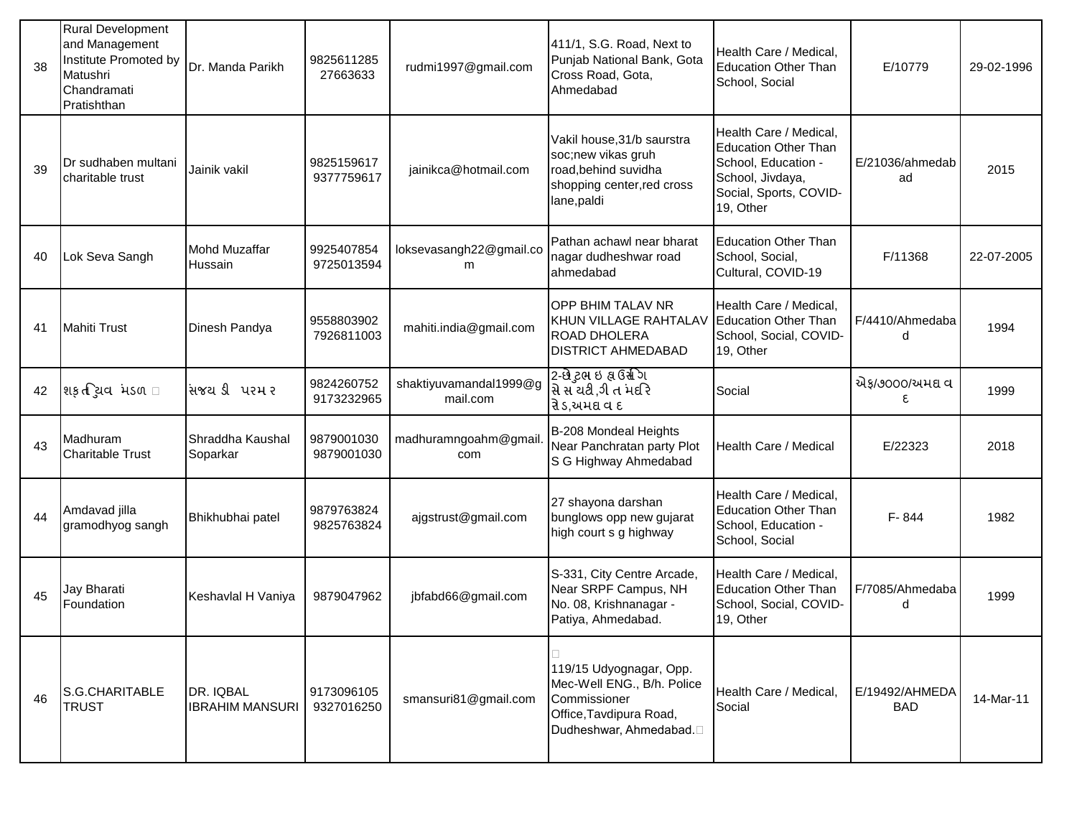| 38 | <b>Rural Development</b><br>and Management<br>Institute Promoted by<br>Matushri<br>Chandramati<br>Pratishthan | Dr. Manda Parikh                    | 9825611285<br>27663633   | rudmi1997@gmail.com                | 411/1, S.G. Road, Next to<br>Punjab National Bank, Gota<br>Cross Road, Gota,<br>Ahmedabad                                                | Health Care / Medical,<br><b>Education Other Than</b><br>School, Social                                                                 | E/10779                      | 29-02-1996 |
|----|---------------------------------------------------------------------------------------------------------------|-------------------------------------|--------------------------|------------------------------------|------------------------------------------------------------------------------------------------------------------------------------------|-----------------------------------------------------------------------------------------------------------------------------------------|------------------------------|------------|
| 39 | Dr sudhaben multani<br>charitable trust                                                                       | Jainik vakil                        | 9825159617<br>9377759617 | jainikca@hotmail.com               | Vakil house, 31/b saurstra<br>soc;new vikas gruh<br>road, behind suvidha<br>shopping center, red cross<br>lane, paldi                    | Health Care / Medical,<br><b>Education Other Than</b><br>School, Education -<br>School, Jivdaya,<br>Social, Sports, COVID-<br>19, Other | E/21036/ahmedab<br>ad        | 2015       |
| 40 | Lok Seva Sangh                                                                                                | <b>Mohd Muzaffar</b><br>Hussain     | 9925407854<br>9725013594 | loksevasangh22@gmail.co<br>m       | Pathan achawl near bharat<br>nagar dudheshwar road<br>ahmedabad                                                                          | <b>Education Other Than</b><br>School, Social,<br>Cultural, COVID-19                                                                    | F/11368                      | 22-07-2005 |
| 41 | <b>Mahiti Trust</b>                                                                                           | Dinesh Pandya                       | 9558803902<br>7926811003 | mahiti.india@gmail.com             | OPP BHIM TALAV NR<br>KHUN VILLAGE RAHTALAV<br>ROAD DHOLERA<br><b>DISTRICT AHMEDABAD</b>                                                  | Health Care / Medical,<br><b>Education Other Than</b><br>School, Social, COVID-<br>19, Other                                            | F/4410/Ahmedaba<br>d         | 1994       |
| 42 | શક઼તસિવિ મડળ ા                                                                                                | સિજયડી પરમર                         | 9824260752<br>9173232965 | shaktiyuvamandal1999@g<br>mail.com | 2-છે ટુભ ઇ ક્ષ ઉર્સ્ત ગ<br>સે સ ચટી ,ગી ત મદરિ<br>રે ડ,અમદ્ય વ દ                                                                         | Social                                                                                                                                  | એફ/૭૦૦૦/અમદ્ય વ<br>٤.        | 1999       |
| 43 | Madhuram<br><b>Charitable Trust</b>                                                                           | Shraddha Kaushal<br>Soparkar        | 9879001030<br>9879001030 | madhuramngoahm@gmail<br>com        | B-208 Mondeal Heights<br>Near Panchratan party Plot<br>S G Highway Ahmedabad                                                             | Health Care / Medical                                                                                                                   | E/22323                      | 2018       |
| 44 | Amdavad jilla<br>gramodhyog sangh                                                                             | Bhikhubhai patel                    | 9879763824<br>9825763824 | ajgstrust@gmail.com                | 27 shayona darshan<br>bunglows opp new gujarat<br>high court s g highway                                                                 | Health Care / Medical,<br><b>Education Other Than</b><br>School, Education -<br>School, Social                                          | F-844                        | 1982       |
| 45 | Jay Bharati<br>Foundation                                                                                     | Keshavlal H Vaniya                  | 9879047962               | jbfabd66@gmail.com                 | S-331, City Centre Arcade,<br>Near SRPF Campus, NH<br>No. 08, Krishnanagar -<br>Patiya, Ahmedabad.                                       | Health Care / Medical,<br><b>Education Other Than</b><br>School, Social, COVID-<br>19, Other                                            | F/7085/Ahmedaba<br>d         | 1999       |
| 46 | S.G.CHARITABLE<br><b>TRUST</b>                                                                                | DR. IQBAL<br><b>IBRAHIM MANSURI</b> | 9173096105<br>9327016250 | smansuri81@gmail.com               | 119/15 Udyognagar, Opp.<br>Mec-Well ENG., B/h. Police<br>Commissioner<br>Office, Tavdipura Road,<br>Dudheshwar, Ahmedabad. <sup>[]</sup> | Health Care / Medical,<br>Social                                                                                                        | E/19492/AHMEDA<br><b>BAD</b> | 14-Mar-11  |